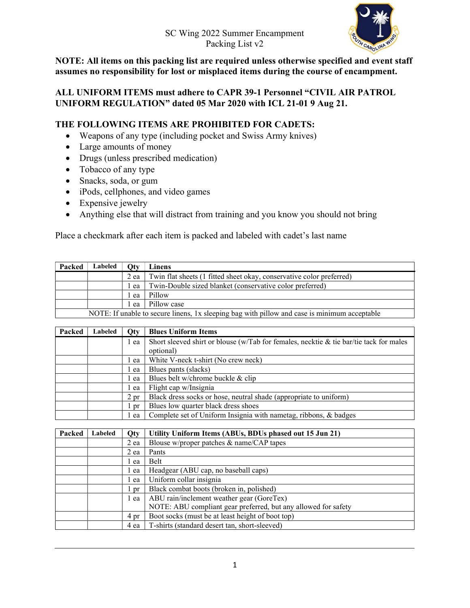## SC Wing 2022 Summer Encampment Packing List v2



NOTE: All items on this packing list are required unless otherwise specified and event staff assumes no responsibility for lost or misplaced items during the course of encampment.

## ALL UNIFORM ITEMS must adhere to CAPR 39-1 Personnel "CIVIL AIR PATROL UNIFORM REGULATION" dated 05 Mar 2020 with ICL 21-01 9 Aug 21.

## THE FOLLOWING ITEMS ARE PROHIBITED FOR CADETS:

- Weapons of any type (including pocket and Swiss Army knives)
- Large amounts of money
- Drugs (unless prescribed medication)
- Tobacco of any type
- Snacks, soda, or gum
- iPods, cellphones, and video games
- Expensive jewelry
- Anything else that will distract from training and you know you should not bring

Place a checkmark after each item is packed and labeled with cadet's last name

| Packed | Labeled | Otv  | Linens                                                                                       |
|--------|---------|------|----------------------------------------------------------------------------------------------|
|        |         | 2 ea | Twin flat sheets (1 fitted sheet okay, conservative color preferred)                         |
|        |         | ea   | Twin-Double sized blanket (conservative color preferred)                                     |
|        |         | ea   | Pillow                                                                                       |
|        |         | ea   | Pillow case                                                                                  |
|        |         |      | NOTE: If unable to secure linens, 1x sleeping bag with pillow and case is minimum acceptable |

| Packed | Labeled | Oty            | <b>Blues Uniform Items</b>                                                             |
|--------|---------|----------------|----------------------------------------------------------------------------------------|
|        |         | l ea           | Short sleeved shirt or blouse (w/Tab for females, necktie & tie bar/tie tack for males |
|        |         |                | optional)                                                                              |
|        |         | ea             | White V-neck t-shirt (No crew neck)                                                    |
|        |         | l ea           | Blues pants (slacks)                                                                   |
|        |         | ea             | Blues belt w/chrome buckle & clip                                                      |
|        |         | ea             | Flight cap w/Insignia                                                                  |
|        |         | $2 \text{ pr}$ | Black dress socks or hose, neutral shade (appropriate to uniform)                      |
|        |         | pr             | Blues low quarter black dress shoes                                                    |
|        |         | ea             | Complete set of Uniform Insignia with nametag, ribbons, & badges                       |

| Packed | Labeled | Oty  | Utility Uniform Items (ABUs, BDUs phased out 15 Jun 21)        |
|--------|---------|------|----------------------------------------------------------------|
|        |         | 2 ea | Blouse w/proper patches & name/CAP tapes                       |
|        |         | 2 ea | Pants                                                          |
|        |         | ea   | Belt                                                           |
|        |         | ea   | Headgear (ABU cap, no baseball caps)                           |
|        |         | ea   | Uniform collar insignia                                        |
|        |         | l pr | Black combat boots (broken in, polished)                       |
|        |         | ea   | ABU rain/inclement weather gear (GoreTex)                      |
|        |         |      | NOTE: ABU compliant gear preferred, but any allowed for safety |
|        |         | 4 pr | Boot socks (must be at least height of boot top)               |
|        |         | 4 ea | T-shirts (standard desert tan, short-sleeved)                  |